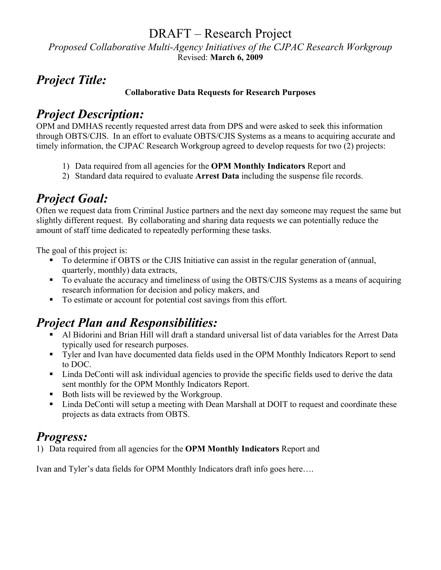#### DRAFT – Research Project

*Proposed Collaborative Multi-Agency Initiatives of the CJPAC Research Workgroup*  Revised: **March 6, 2009**

## *Project Title:*

#### **Collaborative Data Requests for Research Purposes**

## *Project Description:*

OPM and DMHAS recently requested arrest data from DPS and were asked to seek this information through OBTS/CJIS. In an effort to evaluate OBTS/CJIS Systems as a means to acquiring accurate and timely information, the CJPAC Research Workgroup agreed to develop requests for two (2) projects:

- 1) Data required from all agencies for the **OPM Monthly Indicators** Report and
- 2) Standard data required to evaluate **Arrest Data** including the suspense file records.

# *Project Goal:*

Often we request data from Criminal Justice partners and the next day someone may request the same but slightly different request. By collaborating and sharing data requests we can potentially reduce the amount of staff time dedicated to repeatedly performing these tasks.

The goal of this project is:

- To determine if OBTS or the CJIS Initiative can assist in the regular generation of (annual, quarterly, monthly) data extracts,
- To evaluate the accuracy and timeliness of using the OBTS/CJIS Systems as a means of acquiring research information for decision and policy makers, and
- To estimate or account for potential cost savings from this effort.

# *Project Plan and Responsibilities:*

- Al Bidorini and Brian Hill will draft a standard universal list of data variables for the Arrest Data typically used for research purposes.
- Tyler and Ivan have documented data fields used in the OPM Monthly Indicators Report to send to DOC.
- Linda DeConti will ask individual agencies to provide the specific fields used to derive the data sent monthly for the OPM Monthly Indicators Report.
- Both lists will be reviewed by the Workgroup.
- Linda DeConti will setup a meeting with Dean Marshall at DOIT to request and coordinate these projects as data extracts from OBTS.

# *Progress:*

1) Data required from all agencies for the **OPM Monthly Indicators** Report and

Ivan and Tyler's data fields for OPM Monthly Indicators draft info goes here….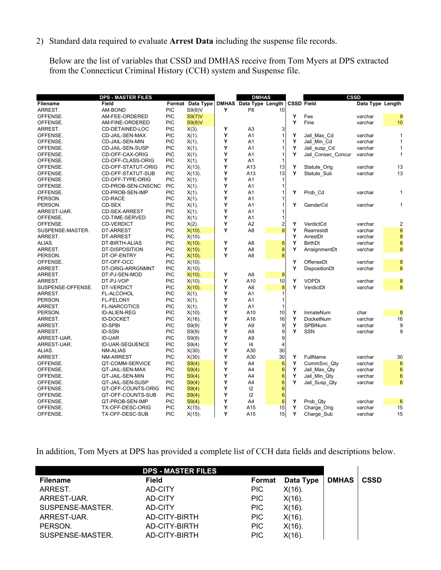2) Standard data required to evaluate **Arrest Data** including the suspense file records.

Below are the list of variables that CSSD and DMHAS receive from Tom Myers at DPS extracted from the Connecticut Criminal History (CCH) system and Suspense file.

| <b>CSSD Field</b><br><b>Filename</b><br>Field<br>Data Type<br><b>DMHAS</b> Data Type Length<br>Data Type Length<br>Format<br>P <sub>8</sub><br>ARREST.<br>AM-BOND<br><b>PIC</b><br>S9(8)V<br>Y<br>10<br>PIC<br>Y<br>Fee<br>OFFENSE.<br>AM-FEE-ORDERED<br>S9(7)V<br>varchar<br>Y<br>PIC<br>Fine<br>OFFENSE.<br>AM-FINE-ORDERED<br>S9(8)V<br>varchar<br>ARREST.<br>PIC<br>Υ<br>A <sub>3</sub><br>3<br>CD-DETAINED-LOC<br>$X(3)$ .<br>Υ<br>Y<br><b>PIC</b><br>OFFENSE.<br>CD-JAIL-SEN-MAX<br>$X(1)$ .<br>A1<br>$\mathbf{1}$<br>Jail Max Cd<br>varchar<br>Υ<br>Υ<br>OFFENSE.<br><b>PIC</b><br>$X(1)$ .<br>A <sub>1</sub><br>Jail Min Cd<br>CD-JAIL-SEN-MIN<br>varchar<br>Υ<br>Υ<br>OFFENSE.<br><b>PIC</b><br>A1<br>CD-JAIL-SEN-SUSP<br>$X(1)$ .<br>Jail_susp_Cd<br>varchar<br>Y<br>Y<br>OFFENSE.<br><b>PIC</b><br>A <sub>1</sub><br>CD-OFF-CAX-ORIG<br>$X(1)$ .<br>Jail Consec Concur<br>varchar<br>Y<br>OFFENSE.<br>CD-OFF-CLASS-ORIG<br><b>PIC</b><br>$X(1)$ .<br>A <sub>1</sub><br>Υ<br>Υ<br>OFFENSE.<br>CD-OFF-STATUT-ORIG<br><b>PIC</b><br>$X(13)$ .<br>A13<br>13<br>Statute_Orig<br>varchar<br>Υ<br>13<br>Y<br>OFFENSE.<br><b>PIC</b><br>$X(13)$ .<br>A13<br>CD-OFF-STATUT-SUB<br>Statute Sub<br>varchar<br>Υ<br><b>PIC</b><br>OFFENSE.<br>CD-OFF-TYPE-ORIG<br>A <sub>1</sub><br>$X(1)$ .<br>OFFENSE.<br><b>PIC</b><br>Υ<br>CD-PROB-SEN-CNSCNC<br>$X(1)$ .<br>A <sub>1</sub><br>PIC<br>Y<br>OFFENSE.<br>A <sub>1</sub><br>Y<br>Prob_Cd<br>CD-PROB-SEN-IMP<br>$X(1)$ .<br>varchar<br>$\overline{1}$<br>PERSON.<br><b>PIC</b><br>Υ<br>A1<br><b>CD-RACE</b><br>$X(1)$ .<br>Υ<br>PERSON.<br>CD-SEX<br><b>PIC</b><br>$X(1)$ .<br>A <sub>1</sub><br>Y<br>GenderCd<br>1<br>varchar<br>Υ<br>CD-SEX-ARREST<br><b>PIC</b><br>$X(1)$ .<br>A <sub>1</sub><br>ARREST-UAR.<br>Υ<br><b>PIC</b><br>A <sub>1</sub><br>OFFENSE.<br>CD-TIME-SERVED<br>$X(1)$ .<br>Y<br>$\overline{2}$<br>OFFENSE.<br><b>PIC</b><br>$X(2)$ .<br>A2<br>Y<br><b>CD-VERDICT</b><br>VerdictCd<br>varchar | <b>DPS - MASTER FILES</b> |  | <b>DMHAS</b> |  | <b>CSSD</b> |                 |
|--------------------------------------------------------------------------------------------------------------------------------------------------------------------------------------------------------------------------------------------------------------------------------------------------------------------------------------------------------------------------------------------------------------------------------------------------------------------------------------------------------------------------------------------------------------------------------------------------------------------------------------------------------------------------------------------------------------------------------------------------------------------------------------------------------------------------------------------------------------------------------------------------------------------------------------------------------------------------------------------------------------------------------------------------------------------------------------------------------------------------------------------------------------------------------------------------------------------------------------------------------------------------------------------------------------------------------------------------------------------------------------------------------------------------------------------------------------------------------------------------------------------------------------------------------------------------------------------------------------------------------------------------------------------------------------------------------------------------------------------------------------------------------------------------------------------------------------------------------------------------------------------------------------------------------------------------------------------|---------------------------|--|--------------|--|-------------|-----------------|
|                                                                                                                                                                                                                                                                                                                                                                                                                                                                                                                                                                                                                                                                                                                                                                                                                                                                                                                                                                                                                                                                                                                                                                                                                                                                                                                                                                                                                                                                                                                                                                                                                                                                                                                                                                                                                                                                                                                                                                    |                           |  |              |  |             |                 |
|                                                                                                                                                                                                                                                                                                                                                                                                                                                                                                                                                                                                                                                                                                                                                                                                                                                                                                                                                                                                                                                                                                                                                                                                                                                                                                                                                                                                                                                                                                                                                                                                                                                                                                                                                                                                                                                                                                                                                                    |                           |  |              |  |             |                 |
|                                                                                                                                                                                                                                                                                                                                                                                                                                                                                                                                                                                                                                                                                                                                                                                                                                                                                                                                                                                                                                                                                                                                                                                                                                                                                                                                                                                                                                                                                                                                                                                                                                                                                                                                                                                                                                                                                                                                                                    |                           |  |              |  |             | 9               |
|                                                                                                                                                                                                                                                                                                                                                                                                                                                                                                                                                                                                                                                                                                                                                                                                                                                                                                                                                                                                                                                                                                                                                                                                                                                                                                                                                                                                                                                                                                                                                                                                                                                                                                                                                                                                                                                                                                                                                                    |                           |  |              |  |             | 10              |
|                                                                                                                                                                                                                                                                                                                                                                                                                                                                                                                                                                                                                                                                                                                                                                                                                                                                                                                                                                                                                                                                                                                                                                                                                                                                                                                                                                                                                                                                                                                                                                                                                                                                                                                                                                                                                                                                                                                                                                    |                           |  |              |  |             |                 |
|                                                                                                                                                                                                                                                                                                                                                                                                                                                                                                                                                                                                                                                                                                                                                                                                                                                                                                                                                                                                                                                                                                                                                                                                                                                                                                                                                                                                                                                                                                                                                                                                                                                                                                                                                                                                                                                                                                                                                                    |                           |  |              |  |             | 1               |
|                                                                                                                                                                                                                                                                                                                                                                                                                                                                                                                                                                                                                                                                                                                                                                                                                                                                                                                                                                                                                                                                                                                                                                                                                                                                                                                                                                                                                                                                                                                                                                                                                                                                                                                                                                                                                                                                                                                                                                    |                           |  |              |  |             | $\overline{1}$  |
|                                                                                                                                                                                                                                                                                                                                                                                                                                                                                                                                                                                                                                                                                                                                                                                                                                                                                                                                                                                                                                                                                                                                                                                                                                                                                                                                                                                                                                                                                                                                                                                                                                                                                                                                                                                                                                                                                                                                                                    |                           |  |              |  |             | $\overline{1}$  |
|                                                                                                                                                                                                                                                                                                                                                                                                                                                                                                                                                                                                                                                                                                                                                                                                                                                                                                                                                                                                                                                                                                                                                                                                                                                                                                                                                                                                                                                                                                                                                                                                                                                                                                                                                                                                                                                                                                                                                                    |                           |  |              |  |             | $\mathbf{1}$    |
|                                                                                                                                                                                                                                                                                                                                                                                                                                                                                                                                                                                                                                                                                                                                                                                                                                                                                                                                                                                                                                                                                                                                                                                                                                                                                                                                                                                                                                                                                                                                                                                                                                                                                                                                                                                                                                                                                                                                                                    |                           |  |              |  |             |                 |
|                                                                                                                                                                                                                                                                                                                                                                                                                                                                                                                                                                                                                                                                                                                                                                                                                                                                                                                                                                                                                                                                                                                                                                                                                                                                                                                                                                                                                                                                                                                                                                                                                                                                                                                                                                                                                                                                                                                                                                    |                           |  |              |  |             | 13              |
|                                                                                                                                                                                                                                                                                                                                                                                                                                                                                                                                                                                                                                                                                                                                                                                                                                                                                                                                                                                                                                                                                                                                                                                                                                                                                                                                                                                                                                                                                                                                                                                                                                                                                                                                                                                                                                                                                                                                                                    |                           |  |              |  |             | 13              |
|                                                                                                                                                                                                                                                                                                                                                                                                                                                                                                                                                                                                                                                                                                                                                                                                                                                                                                                                                                                                                                                                                                                                                                                                                                                                                                                                                                                                                                                                                                                                                                                                                                                                                                                                                                                                                                                                                                                                                                    |                           |  |              |  |             |                 |
|                                                                                                                                                                                                                                                                                                                                                                                                                                                                                                                                                                                                                                                                                                                                                                                                                                                                                                                                                                                                                                                                                                                                                                                                                                                                                                                                                                                                                                                                                                                                                                                                                                                                                                                                                                                                                                                                                                                                                                    |                           |  |              |  |             |                 |
|                                                                                                                                                                                                                                                                                                                                                                                                                                                                                                                                                                                                                                                                                                                                                                                                                                                                                                                                                                                                                                                                                                                                                                                                                                                                                                                                                                                                                                                                                                                                                                                                                                                                                                                                                                                                                                                                                                                                                                    |                           |  |              |  |             |                 |
|                                                                                                                                                                                                                                                                                                                                                                                                                                                                                                                                                                                                                                                                                                                                                                                                                                                                                                                                                                                                                                                                                                                                                                                                                                                                                                                                                                                                                                                                                                                                                                                                                                                                                                                                                                                                                                                                                                                                                                    |                           |  |              |  |             |                 |
|                                                                                                                                                                                                                                                                                                                                                                                                                                                                                                                                                                                                                                                                                                                                                                                                                                                                                                                                                                                                                                                                                                                                                                                                                                                                                                                                                                                                                                                                                                                                                                                                                                                                                                                                                                                                                                                                                                                                                                    |                           |  |              |  |             |                 |
|                                                                                                                                                                                                                                                                                                                                                                                                                                                                                                                                                                                                                                                                                                                                                                                                                                                                                                                                                                                                                                                                                                                                                                                                                                                                                                                                                                                                                                                                                                                                                                                                                                                                                                                                                                                                                                                                                                                                                                    |                           |  |              |  |             |                 |
|                                                                                                                                                                                                                                                                                                                                                                                                                                                                                                                                                                                                                                                                                                                                                                                                                                                                                                                                                                                                                                                                                                                                                                                                                                                                                                                                                                                                                                                                                                                                                                                                                                                                                                                                                                                                                                                                                                                                                                    |                           |  |              |  |             |                 |
|                                                                                                                                                                                                                                                                                                                                                                                                                                                                                                                                                                                                                                                                                                                                                                                                                                                                                                                                                                                                                                                                                                                                                                                                                                                                                                                                                                                                                                                                                                                                                                                                                                                                                                                                                                                                                                                                                                                                                                    |                           |  |              |  |             | $\overline{2}$  |
| Y<br>Y<br>8<br>SUSPENSE-MASTER.<br><b>PIC</b><br>$X(10)$ .<br>A <sub>8</sub><br><b>DT-ARREST</b><br>Rearrestdt<br>varchar                                                                                                                                                                                                                                                                                                                                                                                                                                                                                                                                                                                                                                                                                                                                                                                                                                                                                                                                                                                                                                                                                                                                                                                                                                                                                                                                                                                                                                                                                                                                                                                                                                                                                                                                                                                                                                          |                           |  |              |  |             | 8               |
| Y<br>ARREST.<br><b>PIC</b><br>ArrestDt<br>DT-ARREST<br>$X(10)$ .<br>varchar                                                                                                                                                                                                                                                                                                                                                                                                                                                                                                                                                                                                                                                                                                                                                                                                                                                                                                                                                                                                                                                                                                                                                                                                                                                                                                                                                                                                                                                                                                                                                                                                                                                                                                                                                                                                                                                                                        |                           |  |              |  |             | 8               |
| Υ<br>Υ<br>ALIAS.<br><b>PIC</b><br>$X(10)$ .<br>A <sub>8</sub><br>8<br><b>BirthDt</b><br>DT-BIRTH-ALIAS<br>varchar                                                                                                                                                                                                                                                                                                                                                                                                                                                                                                                                                                                                                                                                                                                                                                                                                                                                                                                                                                                                                                                                                                                                                                                                                                                                                                                                                                                                                                                                                                                                                                                                                                                                                                                                                                                                                                                  |                           |  |              |  |             | 8               |
| <b>PIC</b><br>Υ<br>8<br>Y<br>ARREST.<br>A <sub>8</sub><br>ArraignmentDt<br>DT-DISPOSITION<br>$X(10)$ .<br>varchar                                                                                                                                                                                                                                                                                                                                                                                                                                                                                                                                                                                                                                                                                                                                                                                                                                                                                                                                                                                                                                                                                                                                                                                                                                                                                                                                                                                                                                                                                                                                                                                                                                                                                                                                                                                                                                                  |                           |  |              |  |             | 8               |
| Y<br><b>PIC</b><br>8<br>PERSON.<br>DT-OF-ENTRY<br>$X(10)$ .<br>A <sub>8</sub>                                                                                                                                                                                                                                                                                                                                                                                                                                                                                                                                                                                                                                                                                                                                                                                                                                                                                                                                                                                                                                                                                                                                                                                                                                                                                                                                                                                                                                                                                                                                                                                                                                                                                                                                                                                                                                                                                      |                           |  |              |  |             |                 |
| Y<br>OFFENSE.<br>DT-OFF-OCC<br><b>PIC</b><br>OffenseDt<br>$X(10)$ .<br>varchar                                                                                                                                                                                                                                                                                                                                                                                                                                                                                                                                                                                                                                                                                                                                                                                                                                                                                                                                                                                                                                                                                                                                                                                                                                                                                                                                                                                                                                                                                                                                                                                                                                                                                                                                                                                                                                                                                     |                           |  |              |  |             | 8               |
| ARREST.<br>PIC<br>Y<br>DT-ORIG-ARRGNMNT<br>$X(10)$ .<br>DispositionDt<br>varchar                                                                                                                                                                                                                                                                                                                                                                                                                                                                                                                                                                                                                                                                                                                                                                                                                                                                                                                                                                                                                                                                                                                                                                                                                                                                                                                                                                                                                                                                                                                                                                                                                                                                                                                                                                                                                                                                                   |                           |  |              |  |             | 8               |
| ARREST.<br><b>PIC</b><br>$X(10)$ .<br>Υ<br>A <sub>8</sub><br>8<br>DT-PJ-SEN-MOD                                                                                                                                                                                                                                                                                                                                                                                                                                                                                                                                                                                                                                                                                                                                                                                                                                                                                                                                                                                                                                                                                                                                                                                                                                                                                                                                                                                                                                                                                                                                                                                                                                                                                                                                                                                                                                                                                    |                           |  |              |  |             |                 |
| 10<br>Υ<br>Y<br><b>VOPDt</b><br>ARREST.<br>DT-PJ-VOP<br><b>PIC</b><br>$X(10)$ .<br>A10<br>varchar                                                                                                                                                                                                                                                                                                                                                                                                                                                                                                                                                                                                                                                                                                                                                                                                                                                                                                                                                                                                                                                                                                                                                                                                                                                                                                                                                                                                                                                                                                                                                                                                                                                                                                                                                                                                                                                                  |                           |  |              |  |             | 8               |
| Υ<br>$\boldsymbol{8}$<br>Y<br><b>PIC</b><br>A <sub>8</sub><br>VerdictDt<br>SUSPENSE-OFFENSE.<br>DT-VERDICT<br>$X(10)$ .<br>varchar                                                                                                                                                                                                                                                                                                                                                                                                                                                                                                                                                                                                                                                                                                                                                                                                                                                                                                                                                                                                                                                                                                                                                                                                                                                                                                                                                                                                                                                                                                                                                                                                                                                                                                                                                                                                                                 |                           |  |              |  |             | 8               |
| ARREST.<br><b>PIC</b><br>Y<br>FL-ALCOHOL<br>$X(1)$ .<br>A <sub>1</sub>                                                                                                                                                                                                                                                                                                                                                                                                                                                                                                                                                                                                                                                                                                                                                                                                                                                                                                                                                                                                                                                                                                                                                                                                                                                                                                                                                                                                                                                                                                                                                                                                                                                                                                                                                                                                                                                                                             |                           |  |              |  |             |                 |
| Υ<br>PERSON.<br>PIC<br>A <sub>1</sub><br><b>FL-FELONY</b><br>$X(1)$ .<br>-1                                                                                                                                                                                                                                                                                                                                                                                                                                                                                                                                                                                                                                                                                                                                                                                                                                                                                                                                                                                                                                                                                                                                                                                                                                                                                                                                                                                                                                                                                                                                                                                                                                                                                                                                                                                                                                                                                        |                           |  |              |  |             |                 |
| ARREST.<br>PIC<br>Y<br><b>FL-NARCOTICS</b><br>$X(1)$ .<br>A <sub>1</sub><br>1                                                                                                                                                                                                                                                                                                                                                                                                                                                                                                                                                                                                                                                                                                                                                                                                                                                                                                                                                                                                                                                                                                                                                                                                                                                                                                                                                                                                                                                                                                                                                                                                                                                                                                                                                                                                                                                                                      |                           |  |              |  |             |                 |
| Υ<br>PERSON.<br><b>PIC</b><br>$X(10)$ .<br>A10<br>10<br>Υ<br>InmateNum<br>ID-ALIEN-REG<br>char                                                                                                                                                                                                                                                                                                                                                                                                                                                                                                                                                                                                                                                                                                                                                                                                                                                                                                                                                                                                                                                                                                                                                                                                                                                                                                                                                                                                                                                                                                                                                                                                                                                                                                                                                                                                                                                                     |                           |  |              |  |             | 8               |
| Υ<br>Υ<br><b>PIC</b><br>A16<br>16<br>ARREST.<br><b>ID-DOCKET</b><br>$X(16)$ .<br>DocketNum<br>varchar                                                                                                                                                                                                                                                                                                                                                                                                                                                                                                                                                                                                                                                                                                                                                                                                                                                                                                                                                                                                                                                                                                                                                                                                                                                                                                                                                                                                                                                                                                                                                                                                                                                                                                                                                                                                                                                              |                           |  |              |  |             | 16              |
| Υ<br>Y<br><b>PIC</b><br>9<br>ARREST.<br><b>ID-SPBI</b><br>S9(9)<br>A <sub>9</sub><br>SPBINum<br>varchar                                                                                                                                                                                                                                                                                                                                                                                                                                                                                                                                                                                                                                                                                                                                                                                                                                                                                                                                                                                                                                                                                                                                                                                                                                                                                                                                                                                                                                                                                                                                                                                                                                                                                                                                                                                                                                                            |                           |  |              |  |             | 9               |
| Υ<br>Y<br><b>PIC</b><br>A <sub>9</sub><br>9<br><b>SSN</b><br>ARREST.<br>ID-SSN<br>S9(9)<br>varchar                                                                                                                                                                                                                                                                                                                                                                                                                                                                                                                                                                                                                                                                                                                                                                                                                                                                                                                                                                                                                                                                                                                                                                                                                                                                                                                                                                                                                                                                                                                                                                                                                                                                                                                                                                                                                                                                 |                           |  |              |  |             | 9               |
| Y<br>9<br>ARREST-UAR.<br><b>ID-UAR</b><br>PIC<br>A <sub>9</sub><br>S9(9)                                                                                                                                                                                                                                                                                                                                                                                                                                                                                                                                                                                                                                                                                                                                                                                                                                                                                                                                                                                                                                                                                                                                                                                                                                                                                                                                                                                                                                                                                                                                                                                                                                                                                                                                                                                                                                                                                           |                           |  |              |  |             |                 |
| ID-UAR-SEQUENCE<br><b>PIC</b><br>Υ<br> 4<br>$\overline{4}$<br>ARREST-UAR.<br>S9(4)                                                                                                                                                                                                                                                                                                                                                                                                                                                                                                                                                                                                                                                                                                                                                                                                                                                                                                                                                                                                                                                                                                                                                                                                                                                                                                                                                                                                                                                                                                                                                                                                                                                                                                                                                                                                                                                                                 |                           |  |              |  |             |                 |
| Υ<br>30<br>ALIAS.<br><b>NM-ALIAS</b><br><b>PIC</b><br>$X(30)$ .<br>A30                                                                                                                                                                                                                                                                                                                                                                                                                                                                                                                                                                                                                                                                                                                                                                                                                                                                                                                                                                                                                                                                                                                                                                                                                                                                                                                                                                                                                                                                                                                                                                                                                                                                                                                                                                                                                                                                                             |                           |  |              |  |             |                 |
| Υ<br>30<br>Υ<br><b>PIC</b><br>A30<br>ARREST.<br><b>NM-ARREST</b><br>$X(30)$ .<br>FullName<br>varchar                                                                                                                                                                                                                                                                                                                                                                                                                                                                                                                                                                                                                                                                                                                                                                                                                                                                                                                                                                                                                                                                                                                                                                                                                                                                                                                                                                                                                                                                                                                                                                                                                                                                                                                                                                                                                                                               |                           |  |              |  |             | 30              |
| Y<br><b>PIC</b><br>Υ<br>$6\phantom{1}6$<br>OFFENSE.<br>QT-COMM-SERVICE<br>A4<br>CommSvc Qty<br>S9(4)<br>varchar                                                                                                                                                                                                                                                                                                                                                                                                                                                                                                                                                                                                                                                                                                                                                                                                                                                                                                                                                                                                                                                                                                                                                                                                                                                                                                                                                                                                                                                                                                                                                                                                                                                                                                                                                                                                                                                    |                           |  |              |  |             | $6\phantom{1}6$ |
| Υ<br>Υ<br>OFFENSE.<br>PIC<br>A <sub>4</sub><br>$6\phantom{1}6$<br>QT-JAIL-SEN-MAX<br>S9(4)<br>Jail Max Qty<br>varchar                                                                                                                                                                                                                                                                                                                                                                                                                                                                                                                                                                                                                                                                                                                                                                                                                                                                                                                                                                                                                                                                                                                                                                                                                                                                                                                                                                                                                                                                                                                                                                                                                                                                                                                                                                                                                                              |                           |  |              |  |             | $6\phantom{1}6$ |
| Y<br>PIC<br>Y<br>6<br>OFFENSE.<br>QT-JAIL-SEN-MIN<br>S9(4)<br>A4<br>Jail Min Qty<br>varchar                                                                                                                                                                                                                                                                                                                                                                                                                                                                                                                                                                                                                                                                                                                                                                                                                                                                                                                                                                                                                                                                                                                                                                                                                                                                                                                                                                                                                                                                                                                                                                                                                                                                                                                                                                                                                                                                        |                           |  |              |  |             | 6               |
| Υ<br>Y<br>OFFENSE.<br><b>PIC</b><br>A4<br>6<br>QT-JAIL-SEN-SUSP<br>S9(4)<br>Jail_Susp_Qty<br>varchar                                                                                                                                                                                                                                                                                                                                                                                                                                                                                                                                                                                                                                                                                                                                                                                                                                                                                                                                                                                                                                                                                                                                                                                                                                                                                                                                                                                                                                                                                                                                                                                                                                                                                                                                                                                                                                                               |                           |  |              |  |             | $6\phantom{1}6$ |
| Υ<br><b>PIC</b><br>12<br>6<br>OFFENSE.<br>QT-OFF-COUNTS-ORIG<br>S9(4)                                                                                                                                                                                                                                                                                                                                                                                                                                                                                                                                                                                                                                                                                                                                                                                                                                                                                                                                                                                                                                                                                                                                                                                                                                                                                                                                                                                                                                                                                                                                                                                                                                                                                                                                                                                                                                                                                              |                           |  |              |  |             |                 |
| Υ<br>12<br>OFFENSE.<br>QT-OFF-COUNTS-SUB<br><b>PIC</b><br>$6\phantom{1}6$<br>S9(4)                                                                                                                                                                                                                                                                                                                                                                                                                                                                                                                                                                                                                                                                                                                                                                                                                                                                                                                                                                                                                                                                                                                                                                                                                                                                                                                                                                                                                                                                                                                                                                                                                                                                                                                                                                                                                                                                                 |                           |  |              |  |             |                 |
| <b>PIC</b><br>Υ<br>$6\phantom{1}$<br>Υ<br>OFFENSE.<br>QT-PROB-SEN-IMP<br>A4<br>Prob_Qty<br>S9(4)<br>varchar                                                                                                                                                                                                                                                                                                                                                                                                                                                                                                                                                                                                                                                                                                                                                                                                                                                                                                                                                                                                                                                                                                                                                                                                                                                                                                                                                                                                                                                                                                                                                                                                                                                                                                                                                                                                                                                        |                           |  |              |  |             | 6               |
| OFFENSE.<br>PIC<br>Y<br>15<br>Y<br>TX-OFF-DESC-ORIG<br>$X(15)$ .<br>A15<br>Charge Orig<br>varchar                                                                                                                                                                                                                                                                                                                                                                                                                                                                                                                                                                                                                                                                                                                                                                                                                                                                                                                                                                                                                                                                                                                                                                                                                                                                                                                                                                                                                                                                                                                                                                                                                                                                                                                                                                                                                                                                  |                           |  |              |  |             | 15              |
| PIC<br>Y<br>15<br>Y<br>OFFENSE.<br>TX-OFF-DESC-SUB<br>$X(15)$ .<br>A15<br>Charge Sub<br>varchar                                                                                                                                                                                                                                                                                                                                                                                                                                                                                                                                                                                                                                                                                                                                                                                                                                                                                                                                                                                                                                                                                                                                                                                                                                                                                                                                                                                                                                                                                                                                                                                                                                                                                                                                                                                                                                                                    |                           |  |              |  |             | 15              |

In addition, Tom Myers at DPS has provided a complete list of CCH data fields and descriptions below.

|                  | <b>DPS - MASTER FILES</b> |            |           |              |             |
|------------------|---------------------------|------------|-----------|--------------|-------------|
| <b>Filename</b>  | <b>Field</b>              | Format     | Data Type | <b>DMHAS</b> | <b>CSSD</b> |
| ARREST.          | AD-CITY                   | <b>PIC</b> | $X(16)$ . |              |             |
| ARREST-UAR.      | AD-CITY                   | PIC.       | $X(16)$ . |              |             |
| SUSPENSE-MASTER. | AD-CITY                   | PIC.       | $X(16)$ . |              |             |
| ARREST-UAR.      | AD-CITY-BIRTH             | <b>PIC</b> | $X(16)$ . |              |             |
| PERSON.          | AD-CITY-BIRTH             | <b>PIC</b> | $X(16)$ . |              |             |
| SUSPENSE-MASTER. | AD-CITY-BIRTH             | <b>PIC</b> | X(16).    |              |             |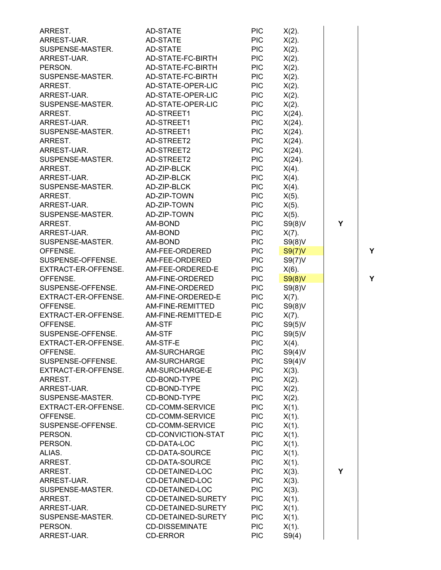| ARREST.                            | AD-STATE               | <b>PIC</b> | $X(2)$ .  |   |   |
|------------------------------------|------------------------|------------|-----------|---|---|
| ARREST-UAR.                        | AD-STATE               | <b>PIC</b> | $X(2)$ .  |   |   |
| SUSPENSE-MASTER.                   | AD-STATE               | <b>PIC</b> | $X(2)$ .  |   |   |
| ARREST-UAR.                        | AD-STATE-FC-BIRTH      | <b>PIC</b> | $X(2)$ .  |   |   |
| PERSON.                            | AD-STATE-FC-BIRTH      | <b>PIC</b> | $X(2)$ .  |   |   |
| SUSPENSE-MASTER. AD-STATE-FC-BIRTH |                        | <b>PIC</b> | $X(2)$ .  |   |   |
| ARREST.                            | AD-STATE-OPER-LIC      | <b>PIC</b> | $X(2)$ .  |   |   |
| ARREST-UAR.                        | AD-STATE-OPER-LIC      | <b>PIC</b> | $X(2)$ .  |   |   |
| SUSPENSE-MASTER.                   | AD-STATE-OPER-LIC      | <b>PIC</b> | $X(2)$ .  |   |   |
| ARREST.                            | AD-STREET1             | <b>PIC</b> | $X(24)$ . |   |   |
| ARREST-UAR.                        | AD-STREET1             | <b>PIC</b> | $X(24)$ . |   |   |
| SUSPENSE-MASTER. AD-STREET1        |                        | <b>PIC</b> | $X(24)$ . |   |   |
| ARREST.                            | AD-STREET2             | <b>PIC</b> | $X(24)$ . |   |   |
| ARREST-UAR.                        | AD-STREET2             | <b>PIC</b> | $X(24)$ . |   |   |
| SUSPENSE-MASTER.                   | AD-STREET2             | <b>PIC</b> | $X(24)$ . |   |   |
| ARREST.                            | AD-ZIP-BLCK            | <b>PIC</b> | $X(4)$ .  |   |   |
| ARREST-UAR.                        | AD-ZIP-BLCK            | <b>PIC</b> | $X(4)$ .  |   |   |
| SUSPENSE-MASTER.                   | AD-ZIP-BLCK            | <b>PIC</b> | $X(4)$ .  |   |   |
| ARREST.                            | AD-ZIP-TOWN            | <b>PIC</b> | $X(5)$ .  |   |   |
| ARREST-UAR.                        | AD-ZIP-TOWN            | <b>PIC</b> | $X(5)$ .  |   |   |
| SUSPENSE-MASTER. AD-ZIP-TOWN       |                        | <b>PIC</b> | $X(5)$ .  |   |   |
| ARREST.                            | AM-BOND                | <b>PIC</b> | S9(8)V    | Y |   |
| ARREST-UAR.                        | AM-BOND                | <b>PIC</b> | $X(7)$ .  |   |   |
| SUSPENSE-MASTER.                   | AM-BOND                | <b>PIC</b> | S9(8)V    |   |   |
| OFFENSE.                           | AM-FEE-ORDERED         | <b>PIC</b> | S9(7)V    |   | Y |
| SUSPENSE-OFFENSE.                  | AM-FEE-ORDERED         | <b>PIC</b> | S9(7)V    |   |   |
| EXTRACT-ER-OFFENSE.                | AM-FEE-ORDERED-E       | <b>PIC</b> | $X(6)$ .  |   |   |
| OFFENSE.                           | AM-FINE-ORDERED        | <b>PIC</b> | S9(8)V    |   | Y |
| SUSPENSE-OFFENSE.                  | AM-FINE-ORDERED        | <b>PIC</b> | S9(8)V    |   |   |
| EXTRACT-ER-OFFENSE.                | AM-FINE-ORDERED-E      | <b>PIC</b> |           |   |   |
| OFFENSE.                           | AM-FINE-REMITTED       | <b>PIC</b> | $X(7)$ .  |   |   |
| EXTRACT-ER-OFFENSE.                | AM-FINE-REMITTED-E     | <b>PIC</b> | S9(8)V    |   |   |
| OFFENSE.                           | AM-STF                 | <b>PIC</b> | $X(7)$ .  |   |   |
| SUSPENSE-OFFENSE.                  | AM-STF                 | <b>PIC</b> | S9(5)V    |   |   |
|                                    |                        |            | S9(5)V    |   |   |
| EXTRACT-ER-OFFENSE.                | AM-STF-E               | <b>PIC</b> | $X(4)$ .  |   |   |
| OFFENSE.                           | AM-SURCHARGE           | <b>PIC</b> | S9(4)V    |   |   |
| SUSPENSE-OFFENSE.                  | AM-SURCHARGE           | <b>PIC</b> | S9(4)V    |   |   |
| EXTRACT-ER-OFFENSE.                | AM-SURCHARGE-E         | <b>PIC</b> | $X(3)$ .  |   |   |
| ARREST.                            | CD-BOND-TYPE           | <b>PIC</b> | $X(2)$ .  |   |   |
| ARREST-UAR.                        | CD-BOND-TYPE           | <b>PIC</b> | $X(2)$ .  |   |   |
| SUSPENSE-MASTER.                   | CD-BOND-TYPE           | <b>PIC</b> | $X(2)$ .  |   |   |
| EXTRACT-ER-OFFENSE.                | <b>CD-COMM-SERVICE</b> | <b>PIC</b> | $X(1)$ .  |   |   |
| OFFENSE.                           | CD-COMM-SERVICE        | <b>PIC</b> | $X(1)$ .  |   |   |
| SUSPENSE-OFFENSE.                  | <b>CD-COMM-SERVICE</b> | <b>PIC</b> | $X(1)$ .  |   |   |
| PERSON.                            | CD-CONVICTION-STAT     | <b>PIC</b> | $X(1)$ .  |   |   |
| PERSON.                            | CD-DATA-LOC            | <b>PIC</b> | $X(1)$ .  |   |   |
| ALIAS.                             | CD-DATA-SOURCE         | <b>PIC</b> | $X(1)$ .  |   |   |
| ARREST.                            | CD-DATA-SOURCE         | <b>PIC</b> | $X(1)$ .  |   |   |
| ARREST.                            | CD-DETAINED-LOC        | <b>PIC</b> | $X(3)$ .  | Y |   |
| ARREST-UAR.                        | CD-DETAINED-LOC        | <b>PIC</b> | $X(3)$ .  |   |   |
| SUSPENSE-MASTER.                   | CD-DETAINED-LOC        | <b>PIC</b> | $X(3)$ .  |   |   |
| ARREST.                            | CD-DETAINED-SURETY     | <b>PIC</b> | $X(1)$ .  |   |   |
| ARREST-UAR.                        | CD-DETAINED-SURETY     | <b>PIC</b> | $X(1)$ .  |   |   |
| SUSPENSE-MASTER.                   | CD-DETAINED-SURETY     | <b>PIC</b> | $X(1)$ .  |   |   |
| PERSON.                            | <b>CD-DISSEMINATE</b>  | <b>PIC</b> | $X(1)$ .  |   |   |
| ARREST-UAR.                        | CD-ERROR               | <b>PIC</b> | S9(4)     |   |   |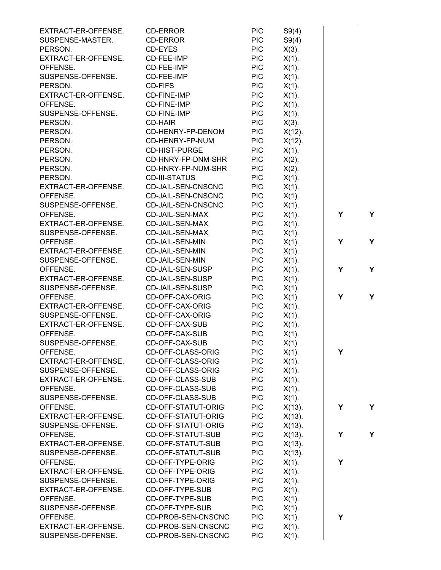| EXTRACT-ER-OFFENSE. | <b>CD-ERROR</b>           | <b>PIC</b> | S9(4)     |   |   |
|---------------------|---------------------------|------------|-----------|---|---|
| SUSPENSE-MASTER.    | CD-ERROR                  | <b>PIC</b> | S9(4)     |   |   |
| PERSON.             | CD-EYES                   | <b>PIC</b> | $X(3)$ .  |   |   |
| EXTRACT-ER-OFFENSE. | CD-FEE-IMP                | <b>PIC</b> | $X(1)$ .  |   |   |
| OFFENSE.            | CD-FEE-IMP                | <b>PIC</b> | $X(1)$ .  |   |   |
| SUSPENSE-OFFENSE.   | CD-FEE-IMP                | <b>PIC</b> | $X(1)$ .  |   |   |
| PERSON.             | <b>CD-FIFS</b>            | <b>PIC</b> | $X(1)$ .  |   |   |
| EXTRACT-ER-OFFENSE. | CD-FINE-IMP               | <b>PIC</b> | $X(1)$ .  |   |   |
| OFFENSE.            | CD-FINE-IMP               | <b>PIC</b> | $X(1)$ .  |   |   |
| SUSPENSE-OFFENSE.   | CD-FINE-IMP               | <b>PIC</b> | $X(1)$ .  |   |   |
| PERSON.             | <b>CD-HAIR</b>            | <b>PIC</b> | $X(3)$ .  |   |   |
| PERSON.             | CD-HENRY-FP-DENOM         | <b>PIC</b> | $X(12)$ . |   |   |
| PERSON.             | CD-HENRY-FP-NUM           | <b>PIC</b> | $X(12)$ . |   |   |
| PERSON.             | <b>CD-HIST-PURGE</b>      | <b>PIC</b> | $X(1)$ .  |   |   |
| PERSON.             | CD-HNRY-FP-DNM-SHR        | <b>PIC</b> | $X(2)$ .  |   |   |
| PERSON.             | CD-HNRY-FP-NUM-SHR        | <b>PIC</b> | $X(2)$ .  |   |   |
| PERSON.             | <b>CD-III-STATUS</b>      | <b>PIC</b> | $X(1)$ .  |   |   |
| EXTRACT-ER-OFFENSE. | CD-JAIL-SEN-CNSCNC        | <b>PIC</b> | $X(1)$ .  |   |   |
| OFFENSE.            | CD-JAIL-SEN-CNSCNC        | <b>PIC</b> | $X(1)$ .  |   |   |
| SUSPENSE-OFFENSE.   | CD-JAIL-SEN-CNSCNC        | <b>PIC</b> | $X(1)$ .  |   |   |
| OFFENSE.            | CD-JAIL-SEN-MAX           | <b>PIC</b> | $X(1)$ .  | Y | Y |
| EXTRACT-ER-OFFENSE. | CD-JAIL-SEN-MAX           | <b>PIC</b> |           |   |   |
| SUSPENSE-OFFENSE.   | CD-JAIL-SEN-MAX           | <b>PIC</b> | $X(1)$ .  |   |   |
|                     |                           |            | $X(1)$ .  |   |   |
| OFFENSE.            | CD-JAIL-SEN-MIN           | <b>PIC</b> | $X(1)$ .  | Y | Y |
| EXTRACT-ER-OFFENSE. | CD-JAIL-SEN-MIN           | <b>PIC</b> | $X(1)$ .  |   |   |
| SUSPENSE-OFFENSE.   | CD-JAIL-SEN-MIN           | <b>PIC</b> | $X(1)$ .  |   |   |
| OFFENSE.            | CD-JAIL-SEN-SUSP          | <b>PIC</b> | $X(1)$ .  | Υ | Y |
| EXTRACT-ER-OFFENSE. | CD-JAIL-SEN-SUSP          | <b>PIC</b> | $X(1)$ .  |   |   |
| SUSPENSE-OFFENSE.   | CD-JAIL-SEN-SUSP          | <b>PIC</b> | $X(1)$ .  |   |   |
| OFFENSE.            | CD-OFF-CAX-ORIG           | <b>PIC</b> | $X(1)$ .  | Y | Y |
| EXTRACT-ER-OFFENSE. | CD-OFF-CAX-ORIG           | <b>PIC</b> | $X(1)$ .  |   |   |
| SUSPENSE-OFFENSE.   | CD-OFF-CAX-ORIG           | <b>PIC</b> | $X(1)$ .  |   |   |
| EXTRACT-ER-OFFENSE. | CD-OFF-CAX-SUB            | <b>PIC</b> | $X(1)$ .  |   |   |
| OFFENSE.            | CD-OFF-CAX-SUB            | <b>PIC</b> | $X(1)$ .  |   |   |
| SUSPENSE-OFFENSE.   | CD-OFF-CAX-SUB            | <b>PIC</b> | $X(1)$ .  |   |   |
| OFFENSE.            | CD-OFF-CLASS-ORIG         | <b>PIC</b> | $X(1)$ .  | Υ |   |
| EXTRACT-ER-OFFENSE. | CD-OFF-CLASS-ORIG         | <b>PIC</b> | $X(1)$ .  |   |   |
| SUSPENSE-OFFENSE.   | CD-OFF-CLASS-ORIG         | <b>PIC</b> | $X(1)$ .  |   |   |
| EXTRACT-ER-OFFENSE. | CD-OFF-CLASS-SUB          | <b>PIC</b> | $X(1)$ .  |   |   |
| OFFENSE.            | CD-OFF-CLASS-SUB          | <b>PIC</b> | $X(1)$ .  |   |   |
| SUSPENSE-OFFENSE.   | CD-OFF-CLASS-SUB          | <b>PIC</b> | $X(1)$ .  |   |   |
| OFFENSE.            | <b>CD-OFF-STATUT-ORIG</b> | <b>PIC</b> | $X(13)$ . | Y | Y |
| EXTRACT-ER-OFFENSE. | <b>CD-OFF-STATUT-ORIG</b> | <b>PIC</b> | $X(13)$ . |   |   |
| SUSPENSE-OFFENSE.   | <b>CD-OFF-STATUT-ORIG</b> | <b>PIC</b> | $X(13)$ . |   |   |
| OFFENSE.            | CD-OFF-STATUT-SUB         | <b>PIC</b> | $X(13)$ . | Υ | Y |
| EXTRACT-ER-OFFENSE. | CD-OFF-STATUT-SUB         | <b>PIC</b> | $X(13)$ . |   |   |
| SUSPENSE-OFFENSE.   | CD-OFF-STATUT-SUB         | <b>PIC</b> | $X(13)$ . |   |   |
| OFFENSE.            | CD-OFF-TYPE-ORIG          | <b>PIC</b> | $X(1)$ .  | Y |   |
| EXTRACT-ER-OFFENSE. | CD-OFF-TYPE-ORIG          | <b>PIC</b> | $X(1)$ .  |   |   |
| SUSPENSE-OFFENSE.   | CD-OFF-TYPE-ORIG          | <b>PIC</b> | $X(1)$ .  |   |   |
| EXTRACT-ER-OFFENSE. | CD-OFF-TYPE-SUB           | <b>PIC</b> | $X(1)$ .  |   |   |
| OFFENSE.            | CD-OFF-TYPE-SUB           | <b>PIC</b> | $X(1)$ .  |   |   |
| SUSPENSE-OFFENSE.   | CD-OFF-TYPE-SUB           | <b>PIC</b> | $X(1)$ .  |   |   |
| OFFENSE.            | CD-PROB-SEN-CNSCNC        | <b>PIC</b> | $X(1)$ .  | Υ |   |
| EXTRACT-ER-OFFENSE. | CD-PROB-SEN-CNSCNC        | <b>PIC</b> | $X(1)$ .  |   |   |
| SUSPENSE-OFFENSE.   | CD-PROB-SEN-CNSCNC        | <b>PIC</b> | $X(1)$ .  |   |   |
|                     |                           |            |           |   |   |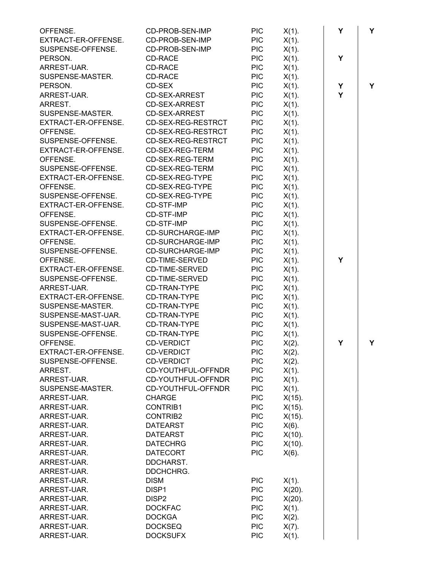| OFFENSE.            | CD-PROB-SEN-IMP       | <b>PIC</b> | $X(1)$ .  | Υ | Y |
|---------------------|-----------------------|------------|-----------|---|---|
| EXTRACT-ER-OFFENSE. | CD-PROB-SEN-IMP       | <b>PIC</b> | $X(1)$ .  |   |   |
| SUSPENSE-OFFENSE.   | CD-PROB-SEN-IMP       | <b>PIC</b> | $X(1)$ .  |   |   |
| PERSON.             | <b>CD-RACE</b>        | <b>PIC</b> | $X(1)$ .  | Y |   |
| ARREST-UAR.         | CD-RACE               | <b>PIC</b> | $X(1)$ .  |   |   |
| SUSPENSE-MASTER.    | CD-RACE               | <b>PIC</b> | $X(1)$ .  |   |   |
| PERSON.             | CD-SEX                | <b>PIC</b> | $X(1)$ .  | Υ | Y |
| ARREST-UAR.         | CD-SEX-ARREST         | <b>PIC</b> | $X(1)$ .  | Y |   |
| ARREST.             | CD-SEX-ARREST         | <b>PIC</b> | $X(1)$ .  |   |   |
| SUSPENSE-MASTER.    | <b>CD-SEX-ARREST</b>  | <b>PIC</b> | $X(1)$ .  |   |   |
| EXTRACT-ER-OFFENSE. | CD-SEX-REG-RESTRCT    | <b>PIC</b> | $X(1)$ .  |   |   |
| OFFENSE.            | CD-SEX-REG-RESTRCT    | <b>PIC</b> | $X(1)$ .  |   |   |
| SUSPENSE-OFFENSE.   | CD-SEX-REG-RESTRCT    | <b>PIC</b> | $X(1)$ .  |   |   |
| EXTRACT-ER-OFFENSE. | CD-SEX-REG-TERM       | <b>PIC</b> | $X(1)$ .  |   |   |
| OFFENSE.            | CD-SEX-REG-TERM       | <b>PIC</b> | $X(1)$ .  |   |   |
| SUSPENSE-OFFENSE.   | CD-SEX-REG-TERM       | <b>PIC</b> | $X(1)$ .  |   |   |
| EXTRACT-ER-OFFENSE. | CD-SEX-REG-TYPE       | <b>PIC</b> | $X(1)$ .  |   |   |
| OFFENSE.            | CD-SEX-REG-TYPE       | <b>PIC</b> | $X(1)$ .  |   |   |
| SUSPENSE-OFFENSE.   | CD-SEX-REG-TYPE       | <b>PIC</b> | $X(1)$ .  |   |   |
| EXTRACT-ER-OFFENSE. | CD-STF-IMP            | <b>PIC</b> | $X(1)$ .  |   |   |
| OFFENSE.            | CD-STF-IMP            | <b>PIC</b> | $X(1)$ .  |   |   |
| SUSPENSE-OFFENSE.   | CD-STF-IMP            | <b>PIC</b> | $X(1)$ .  |   |   |
| EXTRACT-ER-OFFENSE. | CD-SURCHARGE-IMP      | <b>PIC</b> | $X(1)$ .  |   |   |
| OFFENSE.            | CD-SURCHARGE-IMP      | <b>PIC</b> | $X(1)$ .  |   |   |
| SUSPENSE-OFFENSE.   | CD-SURCHARGE-IMP      | <b>PIC</b> | $X(1)$ .  |   |   |
| OFFENSE.            | <b>CD-TIME-SERVED</b> | <b>PIC</b> | $X(1)$ .  | Y |   |
| EXTRACT-ER-OFFENSE. | CD-TIME-SERVED        | <b>PIC</b> | $X(1)$ .  |   |   |
| SUSPENSE-OFFENSE.   | <b>CD-TIME-SERVED</b> | <b>PIC</b> | $X(1)$ .  |   |   |
| ARREST-UAR.         | CD-TRAN-TYPE          | <b>PIC</b> | $X(1)$ .  |   |   |
| EXTRACT-ER-OFFENSE. | CD-TRAN-TYPE          | <b>PIC</b> | $X(1)$ .  |   |   |
| SUSPENSE-MASTER.    | CD-TRAN-TYPE          | <b>PIC</b> | $X(1)$ .  |   |   |
| SUSPENSE-MAST-UAR.  | CD-TRAN-TYPE          | <b>PIC</b> | $X(1)$ .  |   |   |
| SUSPENSE-MAST-UAR.  | CD-TRAN-TYPE          | <b>PIC</b> | $X(1)$ .  |   |   |
| SUSPENSE-OFFENSE.   | CD-TRAN-TYPE          | <b>PIC</b> | $X(1)$ .  |   |   |
| OFFENSE.            | <b>CD-VERDICT</b>     | <b>PIC</b> | $X(2)$ .  | Υ | Υ |
| EXTRACT-ER-OFFENSE. | <b>CD-VERDICT</b>     | <b>PIC</b> | $X(2)$ .  |   |   |
| SUSPENSE-OFFENSE.   | <b>CD-VERDICT</b>     | <b>PIC</b> | $X(2)$ .  |   |   |
| ARREST.             | CD-YOUTHFUL-OFFNDR    | <b>PIC</b> | $X(1)$ .  |   |   |
| ARREST-UAR.         | CD-YOUTHFUL-OFFNDR    | <b>PIC</b> | $X(1)$ .  |   |   |
| SUSPENSE-MASTER.    | CD-YOUTHFUL-OFFNDR    | <b>PIC</b> | $X(1)$ .  |   |   |
| ARREST-UAR.         | <b>CHARGE</b>         | <b>PIC</b> | $X(15)$ . |   |   |
| ARREST-UAR.         | <b>CONTRIB1</b>       | <b>PIC</b> | $X(15)$ . |   |   |
| ARREST-UAR.         | CONTRIB2              | <b>PIC</b> |           |   |   |
| ARREST-UAR.         | <b>DATEARST</b>       | <b>PIC</b> | $X(15)$ . |   |   |
| ARREST-UAR.         | <b>DATEARST</b>       | <b>PIC</b> | $X(6)$ .  |   |   |
| ARREST-UAR.         | <b>DATECHRG</b>       | <b>PIC</b> | $X(10)$ . |   |   |
| ARREST-UAR.         | <b>DATECORT</b>       | <b>PIC</b> | $X(10)$ . |   |   |
| ARREST-UAR.         | DDCHARST.             |            | $X(6)$ .  |   |   |
| ARREST-UAR.         | DDCHCHRG.             |            |           |   |   |
|                     |                       | <b>PIC</b> |           |   |   |
| ARREST-UAR.         | <b>DISM</b>           |            | $X(1)$ .  |   |   |
| ARREST-UAR.         | DISP1                 | <b>PIC</b> | $X(20)$ . |   |   |
| ARREST-UAR.         | DISP <sub>2</sub>     | <b>PIC</b> | $X(20)$ . |   |   |
| ARREST-UAR.         | <b>DOCKFAC</b>        | <b>PIC</b> | $X(1)$ .  |   |   |
| ARREST-UAR.         | <b>DOCKGA</b>         | <b>PIC</b> | $X(2)$ .  |   |   |
| ARREST-UAR.         | <b>DOCKSEQ</b>        | <b>PIC</b> | $X(7)$ .  |   |   |
| ARREST-UAR.         | <b>DOCKSUFX</b>       | <b>PIC</b> | $X(1)$ .  |   |   |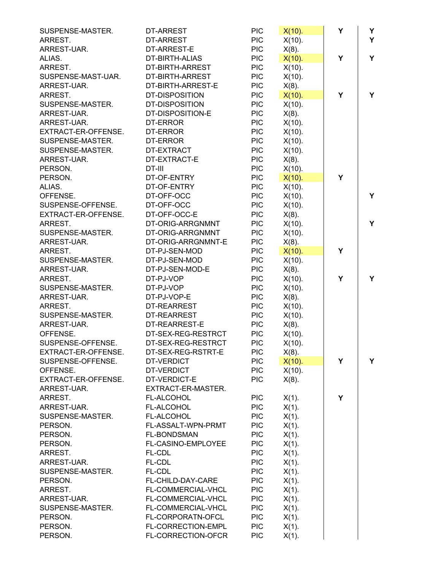| SUSPENSE-MASTER.    | DT-ARREST          | <b>PIC</b> | $X(10)$ . | Υ | Y |
|---------------------|--------------------|------------|-----------|---|---|
| ARREST.             | DT-ARREST          | <b>PIC</b> | $X(10)$ . |   | Y |
| ARREST-UAR.         | DT-ARREST-E        | <b>PIC</b> | $X(8)$ .  |   |   |
| ALIAS.              | DT-BIRTH-ALIAS     | <b>PIC</b> | $X(10)$ . | Y | Y |
| ARREST.             | DT-BIRTH-ARREST    | <b>PIC</b> | $X(10)$ . |   |   |
| SUSPENSE-MAST-UAR.  | DT-BIRTH-ARREST    | <b>PIC</b> | $X(10)$ . |   |   |
| ARREST-UAR.         | DT-BIRTH-ARREST-E  | <b>PIC</b> | $X(8)$ .  |   |   |
| ARREST.             | DT-DISPOSITION     | <b>PIC</b> | $X(10)$ . | Y | Y |
| SUSPENSE-MASTER.    | DT-DISPOSITION     | <b>PIC</b> | $X(10)$ . |   |   |
| ARREST-UAR.         | DT-DISPOSITION-E   | <b>PIC</b> | $X(8)$ .  |   |   |
| ARREST-UAR.         | DT-ERROR           | <b>PIC</b> | $X(10)$ . |   |   |
| EXTRACT-ER-OFFENSE. | DT-ERROR           | <b>PIC</b> | $X(10)$ . |   |   |
| SUSPENSE-MASTER.    | DT-ERROR           | <b>PIC</b> | $X(10)$ . |   |   |
| SUSPENSE-MASTER.    | DT-EXTRACT         | <b>PIC</b> | $X(10)$ . |   |   |
| ARREST-UAR.         | DT-EXTRACT-E       | <b>PIC</b> | $X(8)$ .  |   |   |
| PERSON.             | DT-III             | <b>PIC</b> | $X(10)$ . |   |   |
| PERSON.             | DT-OF-ENTRY        | <b>PIC</b> | $X(10)$ . | Y |   |
| ALIAS.              | DT-OF-ENTRY        | <b>PIC</b> | $X(10)$ . |   |   |
| OFFENSE.            | DT-OFF-OCC         | <b>PIC</b> | $X(10)$ . |   | Y |
| SUSPENSE-OFFENSE.   | DT-OFF-OCC         | <b>PIC</b> | $X(10)$ . |   |   |
| EXTRACT-ER-OFFENSE. | DT-OFF-OCC-E       | <b>PIC</b> | $X(8)$ .  |   |   |
| ARREST.             | DT-ORIG-ARRGNMNT   | <b>PIC</b> | $X(10)$ . |   | Y |
| SUSPENSE-MASTER.    | DT-ORIG-ARRGNMNT   | <b>PIC</b> | $X(10)$ . |   |   |
| ARREST-UAR.         | DT-ORIG-ARRGNMNT-E | <b>PIC</b> | $X(8)$ .  |   |   |
| ARREST.             | DT-PJ-SEN-MOD      | <b>PIC</b> | $X(10)$ . | Y |   |
| SUSPENSE-MASTER.    | DT-PJ-SEN-MOD      | <b>PIC</b> | $X(10)$ . |   |   |
| ARREST-UAR.         | DT-PJ-SEN-MOD-E    | <b>PIC</b> | $X(8)$ .  |   |   |
| ARREST.             | DT-PJ-VOP          | <b>PIC</b> | $X(10)$ . | Y | Y |
| SUSPENSE-MASTER.    | DT-PJ-VOP          | <b>PIC</b> | $X(10)$ . |   |   |
| ARREST-UAR.         | DT-PJ-VOP-E        | <b>PIC</b> | $X(8)$ .  |   |   |
| ARREST.             | DT-REARREST        | <b>PIC</b> | $X(10)$ . |   |   |
| SUSPENSE-MASTER.    | DT-REARREST        | <b>PIC</b> | $X(10)$ . |   |   |
| ARREST-UAR.         | DT-REARREST-E      | <b>PIC</b> | $X(8)$ .  |   |   |
| OFFENSE.            | DT-SEX-REG-RESTRCT | <b>PIC</b> | $X(10)$ . |   |   |
| SUSPENSE-OFFENSE.   | DT-SEX-REG-RESTRCT | <b>PIC</b> | $X(10)$ . |   |   |
| EXTRACT-ER-OFFENSE. | DT-SEX-REG-RSTRT-E | <b>PIC</b> | $X(8)$ .  |   |   |
| SUSPENSE-OFFENSE.   | DT-VERDICT         | <b>PIC</b> | $X(10)$ . | Y | Y |
| OFFENSE.            | DT-VERDICT         | <b>PIC</b> | $X(10)$ . |   |   |
| EXTRACT-ER-OFFENSE. | DT-VERDICT-E       | <b>PIC</b> | $X(8)$ .  |   |   |
| ARREST-UAR.         | EXTRACT-ER-MASTER. |            |           |   |   |
| ARREST.             | FL-ALCOHOL         | <b>PIC</b> | $X(1)$ .  | Y |   |
| ARREST-UAR.         | FL-ALCOHOL         | <b>PIC</b> | $X(1)$ .  |   |   |
| SUSPENSE-MASTER.    | FL-ALCOHOL         | <b>PIC</b> | $X(1)$ .  |   |   |
| PERSON.             | FL-ASSALT-WPN-PRMT | <b>PIC</b> | $X(1)$ .  |   |   |
| PERSON.             | FL-BONDSMAN        | <b>PIC</b> | $X(1)$ .  |   |   |
| PERSON.             | FL-CASINO-EMPLOYEE | <b>PIC</b> | $X(1)$ .  |   |   |
| ARREST.             | FL-CDL             | <b>PIC</b> | $X(1)$ .  |   |   |
| ARREST-UAR.         | FL-CDL             | <b>PIC</b> | $X(1)$ .  |   |   |
| SUSPENSE-MASTER.    | FL-CDL             | <b>PIC</b> |           |   |   |
| PERSON.             | FL-CHILD-DAY-CARE  | <b>PIC</b> | $X(1)$ .  |   |   |
| ARREST.             | FL-COMMERCIAL-VHCL | <b>PIC</b> | $X(1)$ .  |   |   |
|                     |                    |            | $X(1)$ .  |   |   |
| ARREST-UAR.         | FL-COMMERCIAL-VHCL | <b>PIC</b> | $X(1)$ .  |   |   |
| SUSPENSE-MASTER.    | FL-COMMERCIAL-VHCL | <b>PIC</b> | $X(1)$ .  |   |   |
| PERSON.             | FL-CORPORATN-OFCL  | <b>PIC</b> | $X(1)$ .  |   |   |
| PERSON.             | FL-CORRECTION-EMPL | <b>PIC</b> | $X(1)$ .  |   |   |
| PERSON.             | FL-CORRECTION-OFCR | <b>PIC</b> | $X(1)$ .  |   |   |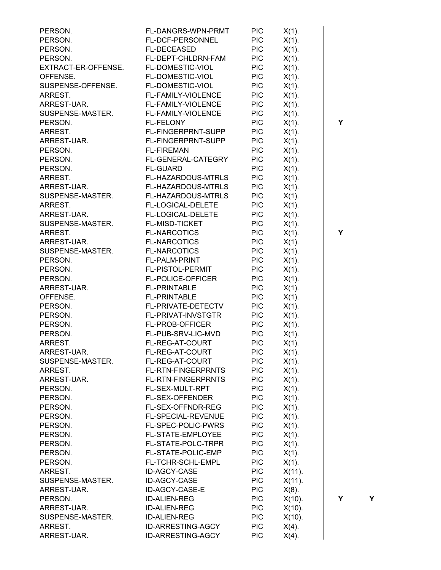| PERSON.                              | FL-DANGRS-WPN-PRMT<br>FL-DCF-PERSONNEL | <b>PIC</b><br><b>PIC</b> | $X(1)$ .  |   |   |
|--------------------------------------|----------------------------------------|--------------------------|-----------|---|---|
| PERSON.<br>PERSON.                   | <b>FL-DECEASED</b>                     | <b>PIC</b>               | $X(1)$ .  |   |   |
|                                      |                                        | <b>PIC</b>               | $X(1)$ .  |   |   |
| PERSON.                              | FL-DEPT-CHLDRN-FAM                     | <b>PIC</b>               | $X(1)$ .  |   |   |
| EXTRACT-ER-OFFENSE. FL-DOMESTIC-VIOL |                                        |                          | $X(1)$ .  |   |   |
| OFFENSE.                             | FL-DOMESTIC-VIOL                       | <b>PIC</b>               | $X(1)$ .  |   |   |
| SUSPENSE-OFFENSE.                    | FL-DOMESTIC-VIOL                       | <b>PIC</b>               | $X(1)$ .  |   |   |
| ARREST.                              | FL-FAMILY-VIOLENCE                     | <b>PIC</b>               | $X(1)$ .  |   |   |
| ARREST-UAR.                          | FL-FAMILY-VIOLENCE                     | <b>PIC</b>               | $X(1)$ .  |   |   |
| SUSPENSE-MASTER. FL-FAMILY-VIOLENCE  |                                        | <b>PIC</b>               | $X(1)$ .  |   |   |
| PERSON.                              | <b>FL-FELONY</b>                       | <b>PIC</b>               | $X(1)$ .  | Y |   |
| ARREST.                              | FL-FINGERPRNT-SUPP                     | <b>PIC</b>               | $X(1)$ .  |   |   |
| ARREST-UAR.                          | <b>FL-FINGERPRNT-SUPP</b>              | <b>PIC</b>               | $X(1)$ .  |   |   |
| PERSON.                              | <b>FL-FIREMAN</b>                      | <b>PIC</b>               | $X(1)$ .  |   |   |
| PERSON.                              | FL-GENERAL-CATEGRY                     | <b>PIC</b>               | $X(1)$ .  |   |   |
| PERSON.                              | <b>FL-GUARD</b>                        | <b>PIC</b>               | $X(1)$ .  |   |   |
| ARREST.                              | FL-HAZARDOUS-MTRLS                     | <b>PIC</b>               | $X(1)$ .  |   |   |
| ARREST-UAR.                          | FL-HAZARDOUS-MTRLS                     | <b>PIC</b>               | $X(1)$ .  |   |   |
|                                      | SUSPENSE-MASTER. FL-HAZARDOUS-MTRLS    | <b>PIC</b>               | $X(1)$ .  |   |   |
| ARREST.                              | FL-LOGICAL-DELETE                      | <b>PIC</b>               | $X(1)$ .  |   |   |
| ARREST-UAR.                          | FL-LOGICAL-DELETE                      | <b>PIC</b>               | $X(1)$ .  |   |   |
| SUSPENSE-MASTER. FL-MISD-TICKET      |                                        | <b>PIC</b>               | $X(1)$ .  |   |   |
| ARREST.                              | <b>FL-NARCOTICS</b>                    | <b>PIC</b>               | $X(1)$ .  | Y |   |
| ARREST-UAR.                          | <b>FL-NARCOTICS</b>                    | <b>PIC</b>               | $X(1)$ .  |   |   |
| SUSPENSE-MASTER.                     | <b>FL-NARCOTICS</b>                    | <b>PIC</b>               | $X(1)$ .  |   |   |
| PERSON.                              | FL-PALM-PRINT                          | <b>PIC</b>               | $X(1)$ .  |   |   |
| PERSON.                              | FL-PISTOL-PERMIT                       | <b>PIC</b>               | $X(1)$ .  |   |   |
| PERSON.                              | <b>FL-POLICE-OFFICER</b>               | <b>PIC</b>               | $X(1)$ .  |   |   |
| ARREST-UAR.                          | <b>FL-PRINTABLE</b>                    | <b>PIC</b>               | $X(1)$ .  |   |   |
| OFFENSE.                             | <b>FL-PRINTABLE</b>                    | <b>PIC</b>               | $X(1)$ .  |   |   |
| PERSON.                              | FL-PRIVATE-DETECTV                     | <b>PIC</b>               | $X(1)$ .  |   |   |
| PERSON.                              | FL-PRIVAT-INVSTGTR                     | <b>PIC</b>               | $X(1)$ .  |   |   |
| PERSON.                              | FL-PROB-OFFICER                        | <b>PIC</b>               | $X(1)$ .  |   |   |
| PERSON.                              | FL-PUB-SRV-LIC-MVD                     | <b>PIC</b>               | $X(1)$ .  |   |   |
| ARREST.                              | FL-REG-AT-COURT                        | <b>PIC</b>               | $X(1)$ .  |   |   |
| ARREST-UAR.                          | FL-REG-AT-COURT                        | <b>PIC</b>               | $X(1)$ .  |   |   |
| SUSPENSE-MASTER.                     | FL-REG-AT-COURT                        | <b>PIC</b>               | $X(1)$ .  |   |   |
| ARREST.                              | <b>FL-RTN-FINGERPRNTS</b>              | <b>PIC</b>               | $X(1)$ .  |   |   |
| ARREST-UAR.                          | FL-RTN-FINGERPRNTS                     | <b>PIC</b>               | $X(1)$ .  |   |   |
| PERSON.                              | FL-SEX-MULT-RPT                        | <b>PIC</b>               | $X(1)$ .  |   |   |
| PERSON.                              | FL-SEX-OFFENDER                        | <b>PIC</b>               | $X(1)$ .  |   |   |
| PERSON.                              | FL-SEX-OFFNDR-REG                      | <b>PIC</b>               | $X(1)$ .  |   |   |
| PERSON.                              | FL-SPECIAL-REVENUE                     | <b>PIC</b>               | $X(1)$ .  |   |   |
| PERSON.                              | FL-SPEC-POLIC-PWRS                     | <b>PIC</b>               | $X(1)$ .  |   |   |
| PERSON.                              | FL-STATE-EMPLOYEE                      | <b>PIC</b>               | $X(1)$ .  |   |   |
| PERSON.                              | FL-STATE-POLC-TRPR                     | <b>PIC</b>               | $X(1)$ .  |   |   |
| PERSON.                              | FL-STATE-POLIC-EMP                     | <b>PIC</b>               | $X(1)$ .  |   |   |
| PERSON.                              | FL-TCHR-SCHL-EMPL                      | <b>PIC</b>               | $X(1)$ .  |   |   |
| ARREST.                              | ID-AGCY-CASE                           | <b>PIC</b>               | $X(11)$ . |   |   |
| SUSPENSE-MASTER.                     | ID-AGCY-CASE                           | <b>PIC</b>               | $X(11)$ . |   |   |
| ARREST-UAR.                          | ID-AGCY-CASE-E                         | <b>PIC</b>               | $X(8)$ .  |   |   |
| PERSON.                              | <b>ID-ALIEN-REG</b>                    | <b>PIC</b>               | $X(10)$ . | Υ | Y |
| ARREST-UAR.                          | <b>ID-ALIEN-REG</b>                    | <b>PIC</b>               | $X(10)$ . |   |   |
| SUSPENSE-MASTER.                     | <b>ID-ALIEN-REG</b>                    | <b>PIC</b>               | $X(10)$ . |   |   |
| ARREST.                              | ID-ARRESTING-AGCY                      | <b>PIC</b>               | $X(4)$ .  |   |   |
| ARREST-UAR.                          | ID-ARRESTING-AGCY                      | <b>PIC</b>               | $X(4)$ .  |   |   |
|                                      |                                        |                          |           |   |   |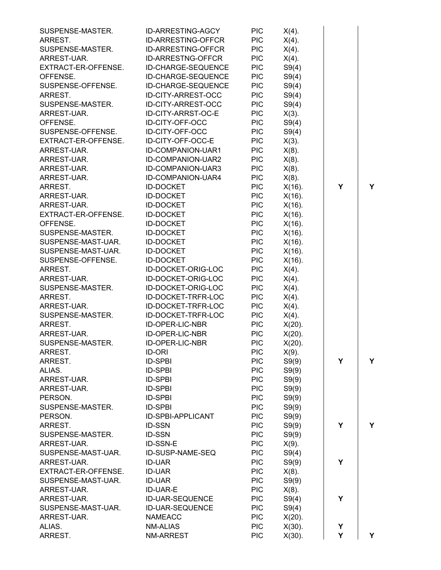| SUSPENSE-MASTER.    | ID-ARRESTING-AGCY  | <b>PIC</b> | $X(4)$ .  |   |   |
|---------------------|--------------------|------------|-----------|---|---|
| ARREST.             | ID-ARRESTING-OFFCR | <b>PIC</b> | $X(4)$ .  |   |   |
| SUSPENSE-MASTER.    | ID-ARRESTING-OFFCR | <b>PIC</b> | $X(4)$ .  |   |   |
| ARREST-UAR.         | ID-ARRESTNG-OFFCR  | <b>PIC</b> | $X(4)$ .  |   |   |
| EXTRACT-ER-OFFENSE. | ID-CHARGE-SEQUENCE | <b>PIC</b> | S9(4)     |   |   |
| OFFENSE.            | ID-CHARGE-SEQUENCE | <b>PIC</b> | S9(4)     |   |   |
| SUSPENSE-OFFENSE.   | ID-CHARGE-SEQUENCE | <b>PIC</b> | S9(4)     |   |   |
| ARREST.             | ID-CITY-ARREST-OCC | <b>PIC</b> | S9(4)     |   |   |
| SUSPENSE-MASTER.    | ID-CITY-ARREST-OCC | <b>PIC</b> | S9(4)     |   |   |
| ARREST-UAR.         | ID-CITY-ARRST-OC-E | <b>PIC</b> | $X(3)$ .  |   |   |
| OFFENSE.            | ID-CITY-OFF-OCC    | <b>PIC</b> | S9(4)     |   |   |
| SUSPENSE-OFFENSE.   | ID-CITY-OFF-OCC    | <b>PIC</b> | S9(4)     |   |   |
| EXTRACT-ER-OFFENSE. | ID-CITY-OFF-OCC-E  | <b>PIC</b> | $X(3)$ .  |   |   |
| ARREST-UAR.         | ID-COMPANION-UAR1  | <b>PIC</b> | $X(8)$ .  |   |   |
| ARREST-UAR.         | ID-COMPANION-UAR2  | <b>PIC</b> | $X(8)$ .  |   |   |
| ARREST-UAR.         | ID-COMPANION-UAR3  | <b>PIC</b> | $X(8)$ .  |   |   |
| ARREST-UAR.         | ID-COMPANION-UAR4  | <b>PIC</b> | $X(8)$ .  |   |   |
| ARREST.             | <b>ID-DOCKET</b>   | <b>PIC</b> | $X(16)$ . | Y | Y |
| ARREST-UAR.         | <b>ID-DOCKET</b>   | <b>PIC</b> | $X(16)$ . |   |   |
| ARREST-UAR.         | <b>ID-DOCKET</b>   | <b>PIC</b> | $X(16)$ . |   |   |
| EXTRACT-ER-OFFENSE. | <b>ID-DOCKET</b>   | <b>PIC</b> | $X(16)$ . |   |   |
| OFFENSE.            | <b>ID-DOCKET</b>   | <b>PIC</b> | $X(16)$ . |   |   |
| SUSPENSE-MASTER.    | <b>ID-DOCKET</b>   | <b>PIC</b> | $X(16)$ . |   |   |
| SUSPENSE-MAST-UAR.  | <b>ID-DOCKET</b>   | <b>PIC</b> | $X(16)$ . |   |   |
| SUSPENSE-MAST-UAR.  | <b>ID-DOCKET</b>   | <b>PIC</b> | $X(16)$ . |   |   |
| SUSPENSE-OFFENSE.   | <b>ID-DOCKET</b>   | <b>PIC</b> | $X(16)$ . |   |   |
| ARREST.             | ID-DOCKET-ORIG-LOC | <b>PIC</b> | $X(4)$ .  |   |   |
| ARREST-UAR.         | ID-DOCKET-ORIG-LOC | <b>PIC</b> | $X(4)$ .  |   |   |
| SUSPENSE-MASTER.    | ID-DOCKET-ORIG-LOC | <b>PIC</b> | $X(4)$ .  |   |   |
| ARREST.             | ID-DOCKET-TRFR-LOC | <b>PIC</b> | $X(4)$ .  |   |   |
| ARREST-UAR.         | ID-DOCKET-TRFR-LOC | <b>PIC</b> | $X(4)$ .  |   |   |
| SUSPENSE-MASTER.    | ID-DOCKET-TRFR-LOC | <b>PIC</b> | $X(4)$ .  |   |   |
| ARREST.             | ID-OPER-LIC-NBR    | <b>PIC</b> | $X(20)$ . |   |   |
| ARREST-UAR.         | ID-OPER-LIC-NBR    | <b>PIC</b> | $X(20)$ . |   |   |
| SUSPENSE-MASTER.    | ID-OPER-LIC-NBR    | <b>PIC</b> | $X(20)$ . |   |   |
| ARREST.             | <b>ID-ORI</b>      | <b>PIC</b> | $X(9)$ .  |   |   |
| ARREST.             | <b>ID-SPBI</b>     | <b>PIC</b> |           | Y | Y |
| ALIAS.              | <b>ID-SPBI</b>     | <b>PIC</b> | S9(9)     |   |   |
|                     |                    | <b>PIC</b> | S9(9)     |   |   |
| ARREST-UAR.         | <b>ID-SPBI</b>     | <b>PIC</b> | S9(9)     |   |   |
| ARREST-UAR.         | <b>ID-SPBI</b>     |            | S9(9)     |   |   |
| PERSON.             | <b>ID-SPBI</b>     | <b>PIC</b> | S9(9)     |   |   |
| SUSPENSE-MASTER.    | <b>ID-SPBI</b>     | <b>PIC</b> | S9(9)     |   |   |
| PERSON.             | ID-SPBI-APPLICANT  | <b>PIC</b> | S9(9)     |   |   |
| ARREST.             | ID-SSN             | <b>PIC</b> | S9(9)     | Y | Y |
| SUSPENSE-MASTER.    | ID-SSN             | <b>PIC</b> | S9(9)     |   |   |
| ARREST-UAR.         | ID-SSN-E           | <b>PIC</b> | $X(9)$ .  |   |   |
| SUSPENSE-MAST-UAR.  | ID-SUSP-NAME-SEQ   | <b>PIC</b> | S9(4)     |   |   |
| ARREST-UAR.         | <b>ID-UAR</b>      | <b>PIC</b> | S9(9)     | Y |   |
| EXTRACT-ER-OFFENSE. | <b>ID-UAR</b>      | <b>PIC</b> | $X(8)$ .  |   |   |
| SUSPENSE-MAST-UAR.  | <b>ID-UAR</b>      | <b>PIC</b> | S9(9)     |   |   |
| ARREST-UAR.         | ID-UAR-E           | <b>PIC</b> | $X(8)$ .  |   |   |
| ARREST-UAR.         | ID-UAR-SEQUENCE    | <b>PIC</b> | S9(4)     | Υ |   |
| SUSPENSE-MAST-UAR.  | ID-UAR-SEQUENCE    | <b>PIC</b> | S9(4)     |   |   |
| ARREST-UAR.         | <b>NAMEACC</b>     | <b>PIC</b> | $X(20)$ . |   |   |
| ALIAS.              | <b>NM-ALIAS</b>    | <b>PIC</b> | $X(30)$ . | Υ |   |
| ARREST.             | NM-ARREST          | <b>PIC</b> | $X(30)$ . | Y | Y |